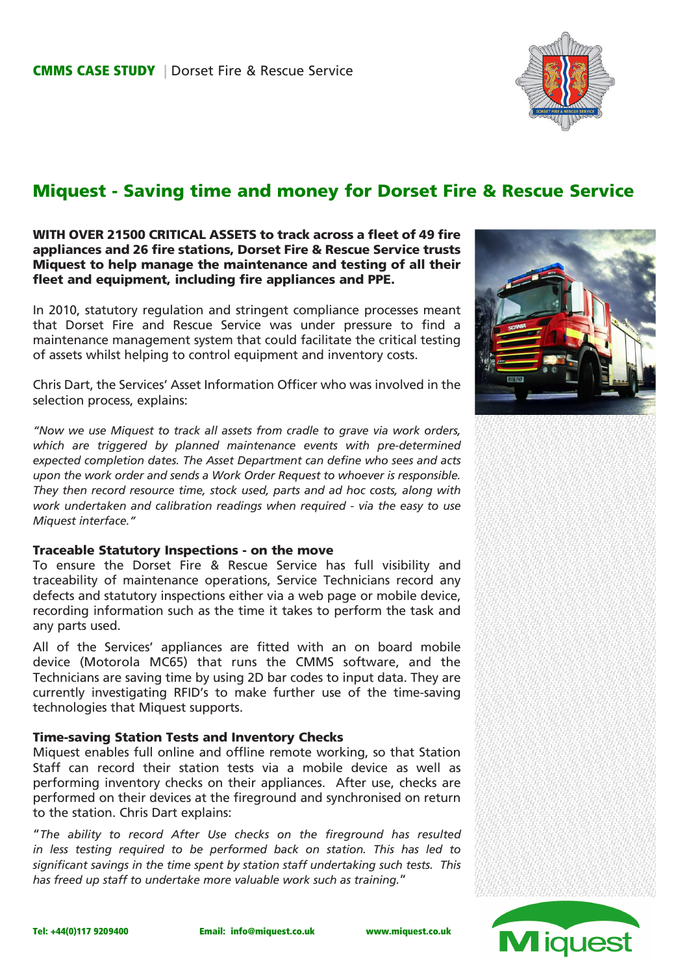

## Miquest - Saving time and money for Dorset Fire & Rescue Service

### WITH OVER 21500 CRITICAL ASSETS to track across a fleet of 49 fire appliances and 26 fire stations, Dorset Fire & Rescue Service trusts Miquest to help manage the maintenance and testing of all their fleet and equipment, including fire appliances and PPE.

In 2010, statutory regulation and stringent compliance processes meant that Dorset Fire and Rescue Service was under pressure to find a maintenance management system that could facilitate the critical testing of assets whilst helping to control equipment and inventory costs.

Chris Dart, the Services' Asset Information Officer who was involved in the selection process, explains:

*"Now we use Miquest to track all assets from cradle to grave via work orders, which are triggered by planned maintenance events with pre-determined expected completion dates. The Asset Department can define who sees and acts upon the work order and sends a Work Order Request to whoever is responsible. They then record resource time, stock used, parts and ad hoc costs, along with work undertaken and calibration readings when required - via the easy to use Miquest interface."*

#### Traceable Statutory Inspections - on the move

To ensure the Dorset Fire & Rescue Service has full visibility and traceability of maintenance operations, Service Technicians record any defects and statutory inspections either via a web page or mobile device, recording information such as the time it takes to perform the task and any parts used.

All of the Services' appliances are fitted with an on board mobile device (Motorola MC65) that runs the CMMS software, and the Technicians are saving time by using 2D bar codes to input data. They are currently investigating RFID's to make further use of the time-saving technologies that Miquest supports.

#### Time-saving Station Tests and Inventory Checks

Miquest enables full online and offline remote working, so that Station Staff can record their station tests via a mobile device as well as performing inventory checks on their appliances. After use, checks are performed on their devices at the fireground and synchronised on return to the station. Chris Dart explains:

"*The ability to record After Use checks on the fireground has resulted in less testing required to be performed back on station. This has led to significant savings in the time spent by station staff undertaking such tests. This has freed up staff to undertake more valuable work such as training.*"